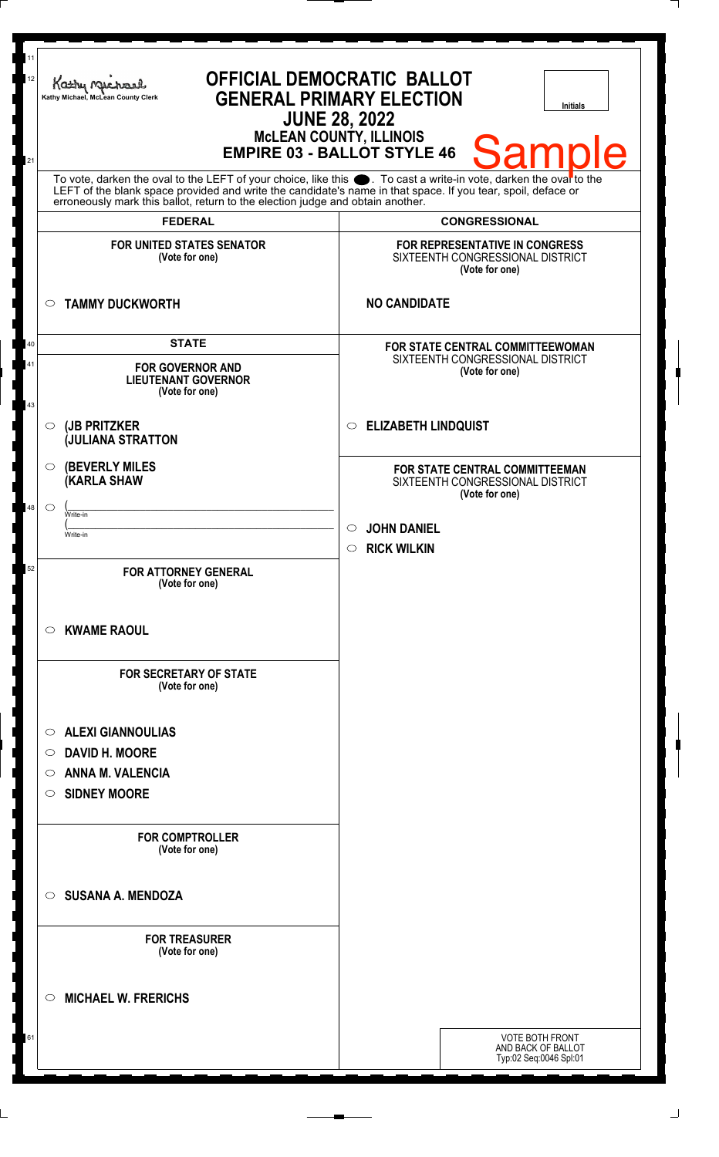| 11<br>12<br>21 | <b>OFFICIAL DEMOCRATIC BALLOT</b><br>Kathy My<br><b>GENERAL PRIMARY ELECTION</b><br>Kathy Michael, McLean County Clerk<br><b>Initials</b><br><b>JUNE 28, 2022</b><br><b>McLEAN COUNTY, ILLINOIS</b><br>Sampl<br>le<br><b>EMPIRE 03 - BALLOT STYLE 46</b>                                                              |                                                                                             |  |
|----------------|-----------------------------------------------------------------------------------------------------------------------------------------------------------------------------------------------------------------------------------------------------------------------------------------------------------------------|---------------------------------------------------------------------------------------------|--|
|                | To vote, darken the oval to the LEFT of your choice, like this $\bullet$ . To cast a write-in vote, darken the ovarto the LEFT of the blank space provided and write the candidate's name in that space. If you tear, spoil, deface<br>erroneously mark this ballot, return to the election judge and obtain another. |                                                                                             |  |
|                | <b>FEDERAL</b>                                                                                                                                                                                                                                                                                                        | <b>CONGRESSIONAL</b>                                                                        |  |
|                | <b>FOR UNITED STATES SENATOR</b><br>(Vote for one)                                                                                                                                                                                                                                                                    | <b>FOR REPRESENTATIVE IN CONGRESS</b><br>SIXTEENTH CONGRESSIONAL DISTRICT<br>(Vote for one) |  |
| $\circ$        | <b>TAMMY DUCKWORTH</b>                                                                                                                                                                                                                                                                                                | <b>NO CANDIDATE</b>                                                                         |  |
| 40             | <b>STATE</b>                                                                                                                                                                                                                                                                                                          | FOR STATE CENTRAL COMMITTEEWOMAN                                                            |  |
| 41<br>43       | <b>FOR GOVERNOR AND</b><br><b>LIEUTENANT GOVERNOR</b><br>(Vote for one)                                                                                                                                                                                                                                               | SIXTEENTH CONGRESSIONAL DISTRICT<br>(Vote for one)                                          |  |
| $\circ$        | (JB PRITZKER<br><b>JULIANA STRATTON</b>                                                                                                                                                                                                                                                                               | <b>ELIZABETH LINDQUIST</b><br>$\circ$                                                       |  |
| $\circ$        | <b>(BEVERLY MILES)</b><br><b>(KARLA SHAW</b>                                                                                                                                                                                                                                                                          | <b>FOR STATE CENTRAL COMMITTEEMAN</b><br>SIXTEENTH CONGRESSIONAL DISTRICT<br>(Vote for one) |  |
| 48<br>$\circ$  | Write-in                                                                                                                                                                                                                                                                                                              |                                                                                             |  |
|                | Write-in                                                                                                                                                                                                                                                                                                              | <b>JOHN DANIEL</b><br>$\circ$<br>$\circ$ RICK WILKIN                                        |  |
| 52             | <b>FOR ATTORNEY GENERAL</b><br>(Vote for one)                                                                                                                                                                                                                                                                         |                                                                                             |  |
| O              | <b>KWAME RAOUL</b>                                                                                                                                                                                                                                                                                                    |                                                                                             |  |
|                | <b>FOR SECRETARY OF STATE</b><br>(Vote for one)                                                                                                                                                                                                                                                                       |                                                                                             |  |
| O              | <b>ALEXI GIANNOULIAS</b>                                                                                                                                                                                                                                                                                              |                                                                                             |  |
| O              | <b>DAVID H. MOORE</b>                                                                                                                                                                                                                                                                                                 |                                                                                             |  |
| O              | <b>ANNA M. VALENCIA</b>                                                                                                                                                                                                                                                                                               |                                                                                             |  |
| O              | <b>SIDNEY MOORE</b>                                                                                                                                                                                                                                                                                                   |                                                                                             |  |
|                | <b>FOR COMPTROLLER</b><br>(Vote for one)                                                                                                                                                                                                                                                                              |                                                                                             |  |
| $\circ$        | <b>SUSANA A. MENDOZA</b>                                                                                                                                                                                                                                                                                              |                                                                                             |  |
|                | <b>FOR TREASURER</b><br>(Vote for one)                                                                                                                                                                                                                                                                                |                                                                                             |  |
| $\circ$        | <b>MICHAEL W. FRERICHS</b>                                                                                                                                                                                                                                                                                            |                                                                                             |  |
| 61             |                                                                                                                                                                                                                                                                                                                       | <b>VOTE BOTH FRONT</b><br>AND BACK OF BALLOT<br>Typ:02 Seq:0046 Spl:01                      |  |